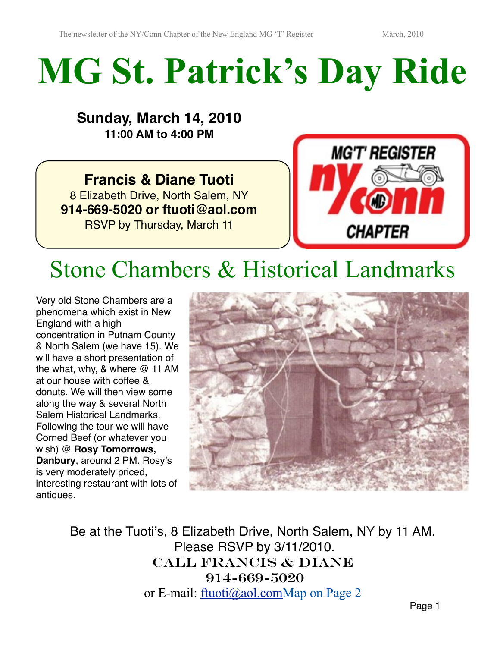# **MG St. Patrick's Day Ride**

## **Sunday, March 14, 2010 11:00 AM to 4:00 PM**

**Francis & Diane Tuoti** 8 Elizabeth Drive, North Salem, NY **914-669-5020 or ftuoti@aol.com** RSVP by Thursday, March 11



## Stone Chambers & Historical Landmarks

Very old Stone Chambers are a phenomena which exist in New England with a high concentration in Putnam County & North Salem (we have 15). We will have a short presentation of the what, why, & where @ 11 AM at our house with coffee & donuts. We will then view some along the way & several North Salem Historical Landmarks. Following the tour we will have Corned Beef (or whatever you wish) @ **Rosy Tomorrows, Danbury**, around 2 PM. Rosy's is very moderately priced, interesting restaurant with lots of antiques.



Be at the Tuoti's, 8 Elizabeth Drive, North Salem, NY by 11 AM. Please RSVP by 3/11/2010. CALL FRANCIS & Diane 914-669-5020 or E-mail: [ftuoti@aol.comM](mailto:dtuoti@aol.com)ap on Page 2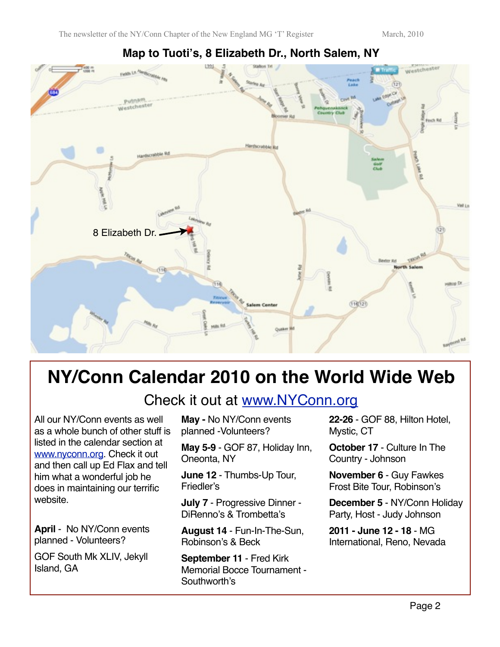

### **Map to Tuoti's, 8 Elizabeth Dr., North Salem, NY**

## **NY/Conn Calendar 2010 on the World Wide Web**

Check it out at [www.NYConn.org](http://www.NYConn.org)

All our NY/Conn events as well as a whole bunch of other stuff is listed in the calendar section at [www.nyconn.org.](http://www.nyconn.org) Check it out and then call up Ed Flax and tell him what a wonderful job he does in maintaining our terrific website.

**April** - No NY/Conn events planned - Volunteers?

GOF South Mk XLIV, Jekyll Island, GA

**May -** No NY/Conn events planned -Volunteers?

**May 5-9** - GOF 87, Holiday Inn, Oneonta, NY

**June 12** - Thumbs-Up Tour, Friedler's

**July 7** - Progressive Dinner - DiRenno's & Trombetta's

**August 14** - Fun-In-The-Sun, Robinson's & Beck

**September 11** - Fred Kirk Memorial Bocce Tournament - Southworth's

**22-26** - GOF 88, Hilton Hotel, Mystic, CT

**October 17** - Culture In The Country - Johnson

**November 6** - Guy Fawkes Frost Bite Tour, Robinson's

**December 5** - NY/Conn Holiday Party, Host - Judy Johnson

**2011 - June 12 - 18** - MG International, Reno, Nevada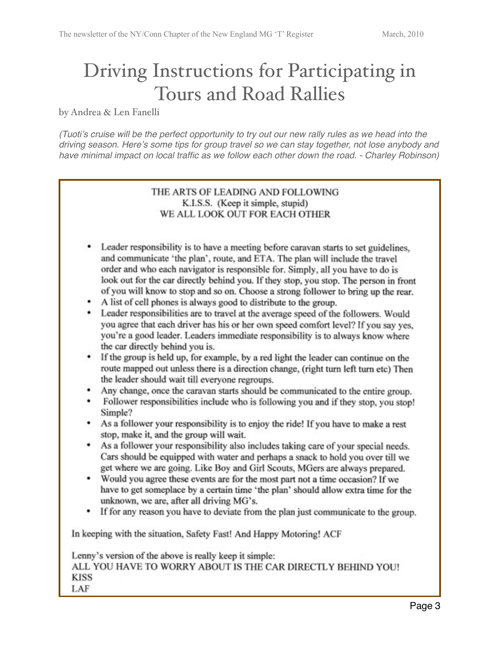## Driving Instructions for Participating in Tours and Road Rallies

by Andrea & Len Fanelli

*(Tuoti*'*s cruise will be the perfect opportunity to try out our new rally rules as we head into the driving season. Here*'*s some tips for group travel so we can stay together, not lose anybody and have minimal impact on local traffic as we follow each other down the road. - Charley Robinson)*

#### THE ARTS OF LEADING AND FOLLOWING K.I.S.S. (Keep it simple, stupid) WE ALL LOOK OUT FOR EACH OTHER

- Leader responsibility is to have a meeting before caravan starts to set guidelines, and communicate 'the plan', route, and ETA. The plan will include the travel order and who each navigator is responsible for. Simply, all you have to do is look out for the car directly behind you. If they stop, you stop. The person in front of you will know to stop and so on. Choose a strong follower to bring up the rear.
- A list of cell phones is always good to distribute to the group.
- Leader responsibilities are to travel at the average speed of the followers. Would you agree that each driver has his or her own speed comfort level? If you say yes, you're a good leader. Leaders immediate responsibility is to always know where the car directly behind you is.
- If the group is held up, for example, by a red light the leader can continue on the route mapped out unless there is a direction change, (right turn left turn etc) Then the leader should wait till everyone regroups.
- Any change, once the caravan starts should be communicated to the entire group.
- Follower responsibilities include who is following you and if they stop, you stop! Simple?
- As a follower your responsibility is to enjoy the ride! If you have to make a rest stop, make it, and the group will wait.
- As a follower your responsibility also includes taking care of your special needs. Cars should be equipped with water and perhaps a snack to hold you over till we get where we are going. Like Boy and Girl Scouts, MGers are always prepared.
- Would you agree these events are for the most part not a time occasion? If we have to get someplace by a certain time 'the plan' should allow extra time for the unknown, we are, after all driving MG's.
- If for any reason you have to deviate from the plan just communicate to the group.

In keeping with the situation, Safety Fast! And Happy Motoring! ACF

Lenny's version of the above is really keep it simple: ALL YOU HAVE TO WORRY ABOUT IS THE CAR DIRECTLY BEHIND YOU! **KISS** LAF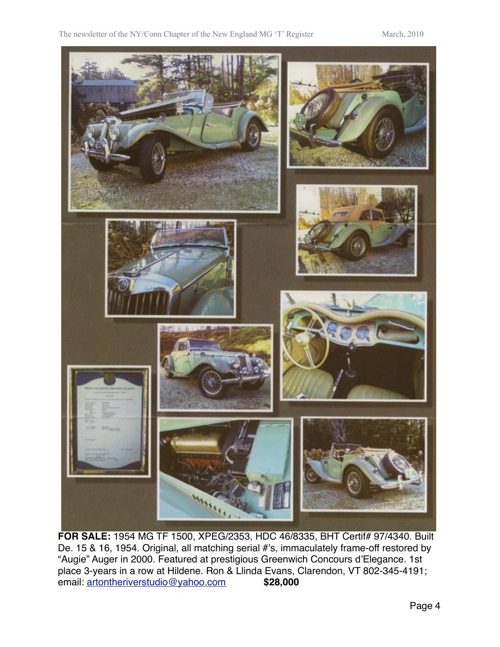

**FOR SALE:** 1954 MG TF 1500, XPEG/2353, HDC 46/8335, BHT Certif# 97/4340. Built De. 15 & 16, 1954. Original, all matching serial #'s, immaculately frame-off restored by "Augie" Auger in 2000. Featured at prestigious Greenwich Concours d'Elegance. 1st place 3-years in a row at Hildene. Ron & Llinda Evans, Clarendon, VT 802-345-4191; email: [artontheriverstudio@yahoo.com](mailto:artontheriverstudio@yahoo.com)" " **\$28,000**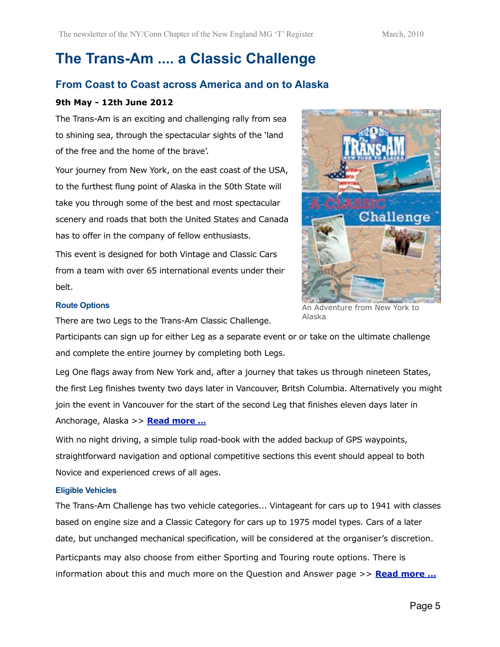## **The Trans-Am .... a Classic Challenge**

### **From Coast to Coast across America and on to Alaska**

#### **9th May - 12th June 2012**

The Trans-Am is an exciting and challenging rally from sea to shining sea, through the spectacular sights of the 'land of the free and the home of the brave'.

Your journey from New York, on the east coast of the USA, to the furthest flung point of Alaska in the 50th State will take you through some of the best and most spectacular scenery and roads that both the United States and Canada has to offer in the company of fellow enthusiasts.

This event is designed for both Vintage and Classic Cars from a team with over 65 international events under their belt.



#### **Route Options**

There are two Legs to the Trans-Am Classic Challenge.

Participants can sign up for either Leg as a separate event or or take on the ultimate challenge and complete the entire journey by completing both Legs.

Alaska

Leg One flags away from New York and, after a journey that takes us through nineteen States, the first Leg finishes twenty two days later in Vancouver, Britsh Columbia. Alternatively you might join the event in Vancouver for the start of the second Leg that finishes eleven days later in Anchorage, Alaska >> **[Read more ...](http://www.endurorally.com/transam/route.html)**

With no night driving, a simple tulip road-book with the added backup of GPS waypoints, straightforward navigation and optional competitive sections this event should appeal to both Novice and experienced crews of all ages.

#### **Eligible Vehicles**

The Trans-Am Challenge has two vehicle categories... Vintageant for cars up to 1941 with classes based on engine size and a Classic Category for cars up to 1975 model types. Cars of a later date, but unchanged mechanical specification, will be considered at the organiser's discretion. Particpants may also choose from either Sporting and Touring route options. There is information about this and much more on the Question and Answer page >> **[Read more ...](http://www.endurorally.com/transam/faq.html)**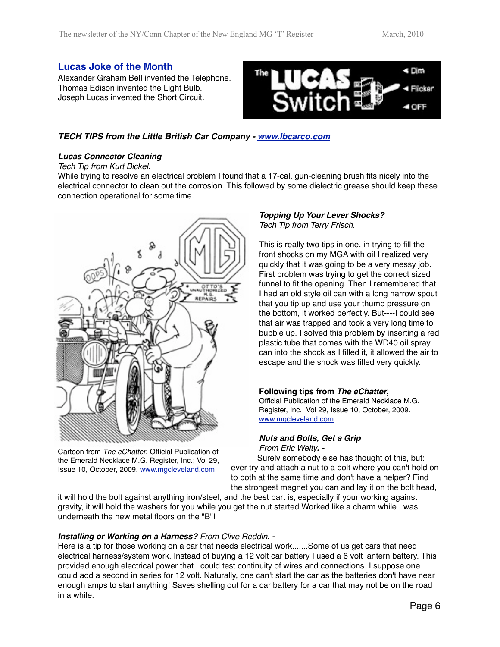#### **Lucas Joke of the Month**

Alexander Graham Bell invented the Telephone. Thomas Edison invented the Light Bulb. Joseph Lucas invented the Short Circuit.



#### *TECH TIPS from the Little British Car Company - [www.lbcarco.com](http://www.lbcarco.com)*

#### *Lucas Connector Cleaning*

#### *Tech Tip from Kurt Bickel.*

While trying to resolve an electrical problem I found that a 17-cal. gun-cleaning brush fits nicely into the electrical connector to clean out the corrosion. This followed by some dielectric grease should keep these connection operational for some time.



Cartoon from *The eChatter*, Official Publication of the Emerald Necklace M.G. Register, Inc.; Vol 29, Issue 10, October, 2009. [www.mgcleveland.com](http://www.mgcleveland.com)

### *Topping Up Your Lever Shocks?*

*Tech Tip from Terry Frisch.*

This is really two tips in one, in trying to fill the front shocks on my MGA with oil I realized very quickly that it was going to be a very messy job. First problem was trying to get the correct sized funnel to fit the opening. Then I remembered that I had an old style oil can with a long narrow spout that you tip up and use your thumb pressure on the bottom, it worked perfectly. But----I could see that air was trapped and took a very long time to bubble up. I solved this problem by inserting a red plastic tube that comes with the WD40 oil spray can into the shock as I filled it, it allowed the air to escape and the shock was filled very quickly.

#### **Following tips from** *The eChatter***,**

Official Publication of the Emerald Necklace M.G. Register, Inc.; Vol 29, Issue 10, October, 2009. [www.mgcleveland.com](http://www.mgcleveland.com)

#### *Nuts and Bolts, Get a Grip*

*From Eric Welty. -*

Surely somebody else has thought of this, but: ever try and attach a nut to a bolt where you can't hold on to both at the same time and don't have a helper? Find the strongest magnet you can and lay it on the bolt head,

it will hold the bolt against anything iron/steel, and the best part is, especially if your working against gravity, it will hold the washers for you while you get the nut started.Worked like a charm while I was underneath the new metal floors on the "B"!

#### *Installing or Working on a Harness? From Clive Reddin. -*

Here is a tip for those working on a car that needs electrical work.......Some of us get cars that need electrical harness/system work. Instead of buying a 12 volt car battery I used a 6 volt lantern battery. This provided enough electrical power that I could test continuity of wires and connections. I suppose one could add a second in series for 12 volt. Naturally, one can't start the car as the batteries don't have near enough amps to start anything! Saves shelling out for a car battery for a car that may not be on the road in a while.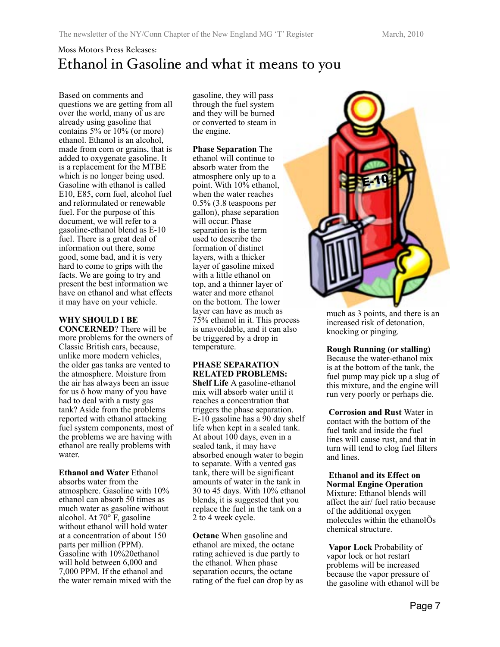## Moss Motors Press Releases: Ethanol in Gasoline and what it means to you

Based on comments and questions we are getting from all over the world, many of us are already using gasoline that contains 5% or 10% (or more) ethanol. Ethanol is an alcohol, made from corn or grains, that is added to oxygenate gasoline. It is a replacement for the MTBE which is no longer being used. Gasoline with ethanol is called E10, E85, corn fuel, alcohol fuel and reformulated or renewable fuel. For the purpose of this document, we will refer to a gasoline-ethanol blend as E-10 fuel. There is a great deal of information out there, some good, some bad, and it is very hard to come to grips with the facts. We are going to try and present the best information we have on ethanol and what effects it may have on your vehicle.

#### **WHY SHOULD I BE**

**CONCERNED**? There will be more problems for the owners of Classic British cars, because, unlike more modern vehicles, the older gas tanks are vented to the atmosphere. Moisture from the air has always been an issue for us ö how many of you have had to deal with a rusty gas tank? Aside from the problems reported with ethanol attacking fuel system components, most of the problems we are having with ethanol are really problems with water.

**Ethanol and Water** Ethanol absorbs water from the atmosphere. Gasoline with 10% ethanol can absorb 50 times as much water as gasoline without alcohol. At 70° F, gasoline without ethanol will hold water at a concentration of about 150 parts per million (PPM). Gasoline with 10%20ethanol will hold between 6,000 and 7,000 PPM. If the ethanol and the water remain mixed with the gasoline, they will pass through the fuel system and they will be burned or converted to steam in the engine.

**Phase Separation** The ethanol will continue to absorb water from the atmosphere only up to a point. With 10% ethanol, when the water reaches 0.5% (3.8 teaspoons per gallon), phase separation will occur. Phase separation is the term used to describe the formation of distinct layers, with a thicker layer of gasoline mixed with a little ethanol on top, and a thinner layer of water and more ethanol on the bottom. The lower layer can have as much as 75% ethanol in it. This process is unavoidable, and it can also be triggered by a drop in temperature.

#### **PHASE SEPARATION RELATED PROBLEMS:**

**Shelf Life** A gasoline-ethanol mix will absorb water until it reaches a concentration that triggers the phase separation. E-10 gasoline has a 90 day shelf life when kept in a sealed tank. At about 100 days, even in a sealed tank, it may have absorbed enough water to begin to separate. With a vented gas tank, there will be significant amounts of water in the tank in 30 to 45 days. With 10% ethanol blends, it is suggested that you replace the fuel in the tank on a 2 to 4 week cycle.

**Octane** When gasoline and ethanol are mixed, the octane rating achieved is due partly to the ethanol. When phase separation occurs, the octane rating of the fuel can drop by as



much as 3 points, and there is an increased risk of detonation, knocking or pinging.

**Rough Running (or stalling)** 

Because the water-ethanol mix is at the bottom of the tank, the fuel pump may pick up a slug of this mixture, and the engine will run very poorly or perhaps die.

**Corrosion and Rust** Water in contact with the bottom of the fuel tank and inside the fuel lines will cause rust, and that in turn will tend to clog fuel filters and lines.

**Ethanol and its Effect on Normal Engine Operation**  Mixture: Ethanol blends will affect the air/ fuel ratio because of the additional oxygen molecules within the ethanolÕs chemical structure.

**Vapor Lock** Probability of vapor lock or hot restart problems will be increased because the vapor pressure of the gasoline with ethanol will be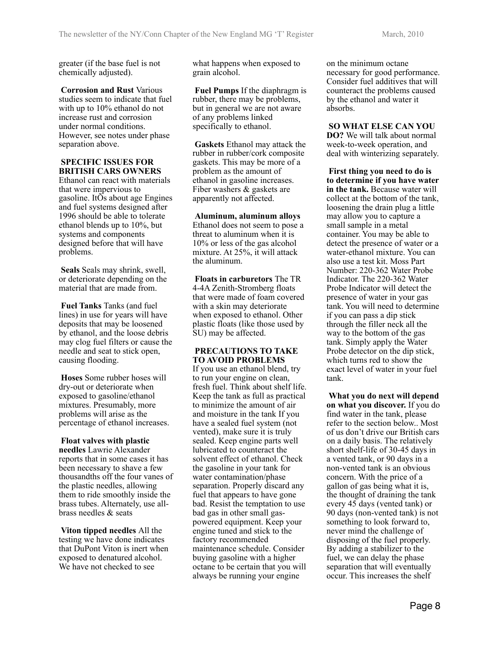greater (if the base fuel is not chemically adjusted).

**Corrosion and Rust** Various studies seem to indicate that fuel with up to 10% ethanol do not increase rust and corrosion under normal conditions. However, see notes under phase separation above.

#### **SPECIFIC ISSUES FOR BRITISH CARS OWNERS**

Ethanol can react with materials that were impervious to gasoline. ItÕs about age Engines and fuel systems designed after 1996 should be able to tolerate ethanol blends up to 10%, but systems and components designed before that will have problems.

**Seals** Seals may shrink, swell, or deteriorate depending on the material that are made from.

**Fuel Tanks** Tanks (and fuel lines) in use for years will have deposits that may be loosened by ethanol, and the loose debris may clog fuel filters or cause the needle and seat to stick open, causing flooding.

**Hoses** Some rubber hoses will dry-out or deteriorate when exposed to gasoline/ethanol mixtures. Presumably, more problems will arise as the percentage of ethanol increases.

**Float valves with plastic needles** Lawrie Alexander reports that in some cases it has been necessary to shave a few thousandths off the four vanes of the plastic needles, allowing them to ride smoothly inside the brass tubes. Alternately, use allbrass needles & seats

**Viton tipped needles** All the testing we have done indicates that DuPont Viton is inert when exposed to denatured alcohol. We have not checked to see

what happens when exposed to grain alcohol.

**Fuel Pumps** If the diaphragm is rubber, there may be problems, but in general we are not aware of any problems linked specifically to ethanol.

**Gaskets** Ethanol may attack the rubber in rubber/cork composite gaskets. This may be more of a problem as the amount of ethanol in gasoline increases. Fiber washers & gaskets are apparently not affected.

#### **Aluminum, aluminum alloys**

Ethanol does not seem to pose a threat to aluminum when it is 10% or less of the gas alcohol mixture. At 25%, it will attack the aluminum.

**Floats in carburetors** The TR 4-4A Zenith-Stromberg floats that were made of foam covered with a skin may deteriorate when exposed to ethanol. Other plastic floats (like those used by SU) may be affected.

#### **PRECAUTIONS TO TAKE TO AVOID PROBLEMS**

If you use an ethanol blend, try to run your engine on clean, fresh fuel. Think about shelf life. Keep the tank as full as practical to minimize the amount of air and moisture in the tank If you have a sealed fuel system (not vented), make sure it is truly sealed. Keep engine parts well lubricated to counteract the solvent effect of ethanol. Check the gasoline in your tank for water contamination/phase separation. Properly discard any fuel that appears to have gone bad. Resist the temptation to use bad gas in other small gaspowered equipment. Keep your engine tuned and stick to the factory recommended maintenance schedule. Consider buying gasoline with a higher octane to be certain that you will always be running your engine

on the minimum octane necessary for good performance. Consider fuel additives that will counteract the problems caused by the ethanol and water it absorbs.

**SO WHAT ELSE CAN YOU DO?** We will talk about normal week-to-week operation, and deal with winterizing separately.

**First thing you need to do is to determine if you have water in the tank.** Because water will collect at the bottom of the tank, loosening the drain plug a little may allow you to capture a small sample in a metal container. You may be able to detect the presence of water or a water-ethanol mixture. You can also use a test kit. Moss Part Number: 220-362 Water Probe Indicator. The 220-362 Water Probe Indicator will detect the presence of water in your gas tank. You will need to determine if you can pass a dip stick through the filler neck all the way to the bottom of the gas tank. Simply apply the Water Probe detector on the dip stick, which turns red to show the exact level of water in your fuel tank.

**What you do next will depend on what you discover.** If you do find water in the tank, please refer to the section below.. Most of us don't drive our British cars on a daily basis. The relatively short shelf-life of 30-45 days in a vented tank, or 90 days in a non-vented tank is an obvious concern. With the price of a gallon of gas being what it is, the thought of draining the tank every 45 days (vented tank) or 90 days (non-vented tank) is not something to look forward to, never mind the challenge of disposing of the fuel properly. By adding a stabilizer to the fuel, we can delay the phase separation that will eventually occur. This increases the shelf